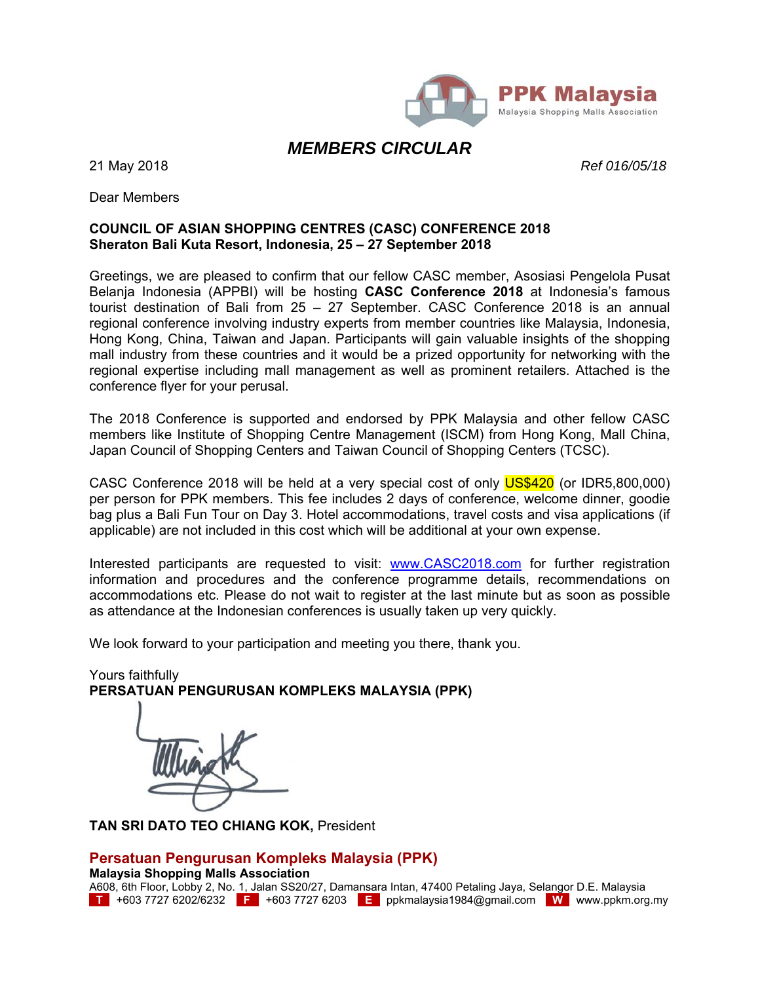

### *MEMBERS CIRCULAR*

21 May 2018 *Ref 016/05/18*

Dear Members

#### **COUNCIL OF ASIAN SHOPPING CENTRES (CASC) CONFERENCE 2018 Sheraton Bali Kuta Resort, Indonesia, 25 – 27 September 2018**

Greetings, we are pleased to confirm that our fellow CASC member, Asosiasi Pengelola Pusat Belanja Indonesia (APPBI) will be hosting **CASC Conference 2018** at Indonesia's famous tourist destination of Bali from 25 – 27 September. CASC Conference 2018 is an annual regional conference involving industry experts from member countries like Malaysia, Indonesia, Hong Kong, China, Taiwan and Japan. Participants will gain valuable insights of the shopping mall industry from these countries and it would be a prized opportunity for networking with the regional expertise including mall management as well as prominent retailers. Attached is the conference flyer for your perusal.

The 2018 Conference is supported and endorsed by PPK Malaysia and other fellow CASC members like Institute of Shopping Centre Management (ISCM) from Hong Kong, Mall China, Japan Council of Shopping Centers and Taiwan Council of Shopping Centers (TCSC).

CASC Conference 2018 will be held at a very special cost of only US\$420 (or IDR5,800,000) per person for PPK members. This fee includes 2 days of conference, welcome dinner, goodie bag plus a Bali Fun Tour on Day 3. Hotel accommodations, travel costs and visa applications (if applicable) are not included in this cost which will be additional at your own expense.

Interested participants are requested to visit: www.CASC2018.com for further registration information and procedures and the conference programme details, recommendations on accommodations etc. Please do not wait to register at the last minute but as soon as possible as attendance at the Indonesian conferences is usually taken up very quickly.

We look forward to your participation and meeting you there, thank you.

Yours faithfully **PERSATUAN PENGURUSAN KOMPLEKS MALAYSIA (PPK)** 

**TAN SRI DATO TEO CHIANG KOK,** President

### **Persatuan Pengurusan Kompleks Malaysia (PPK)**

**Malaysia Shopping Malls Association** 

A608, 6th Floor, Lobby 2, No. 1, Jalan SS20/27, Damansara Intan, 47400 Petaling Jaya, Selangor D.E. Malaysia **T** +603 7727 6202/6232 **F** +603 7727 6203 **E** ppkmalaysia1984@gmail.com **W** www.ppkm.org.my